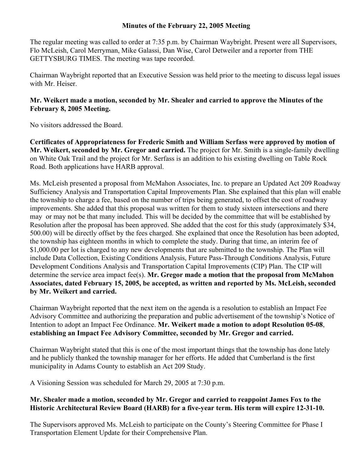## **Minutes of the February 22, 2005 Meeting**

The regular meeting was called to order at 7:35 p.m. by Chairman Waybright. Present were all Supervisors, Flo McLeish, Carol Merryman, Mike Galassi, Dan Wise, Carol Detweiler and a reporter from THE GETTYSBURG TIMES. The meeting was tape recorded.

Chairman Waybright reported that an Executive Session was held prior to the meeting to discuss legal issues with Mr. Heiser.

## **Mr. Weikert made a motion, seconded by Mr. Shealer and carried to approve the Minutes of the February 8, 2005 Meeting.**

No visitors addressed the Board.

**Certificates of Appropriateness for Frederic Smith and William Serfass were approved by motion of Mr. Weikert, seconded by Mr. Gregor and carried.** The project for Mr. Smith is a single-family dwelling on White Oak Trail and the project for Mr. Serfass is an addition to his existing dwelling on Table Rock Road. Both applications have HARB approval.

Ms. McLeish presented a proposal from McMahon Associates, Inc. to prepare an Updated Act 209 Roadway Sufficiency Analysis and Transportation Capital Improvements Plan. She explained that this plan will enable the township to charge a fee, based on the number of trips being generated, to offset the cost of roadway improvements. She added that this proposal was written for them to study sixteen intersections and there may or may not be that many included. This will be decided by the committee that will be established by Resolution after the proposal has been approved. She added that the cost for this study (approximately \$34, 500.00) will be directly offset by the fees charged. She explained that once the Resolution has been adopted, the township has eighteen months in which to complete the study. During that time, an interim fee of \$1,000.00 per lot is charged to any new developments that are submitted to the township. The Plan will include Data Collection, Existing Conditions Analysis, Future Pass-Through Conditions Analysis, Future Development Conditions Analysis and Transportation Capital Improvements (CIP) Plan. The CIP will determine the service area impact fee(s). **Mr. Gregor made a motion that the proposal from McMahon Associates, dated February 15, 2005, be accepted, as written and reported by Ms. McLeish, seconded by Mr. Weikert and carried.** 

Chairman Waybright reported that the next item on the agenda is a resolution to establish an Impact Fee Advisory Committee and authorizing the preparation and public advertisement of the township's Notice of Intention to adopt an Impact Fee Ordinance. **Mr. Weikert made a motion to adopt Resolution 05-08**, **establishing an Impact Fee Advisory Committee, seconded by Mr. Gregor and carried.** 

Chairman Waybright stated that this is one of the most important things that the township has done lately and he publicly thanked the township manager for her efforts. He added that Cumberland is the first municipality in Adams County to establish an Act 209 Study.

A Visioning Session was scheduled for March 29, 2005 at 7:30 p.m.

## **Mr. Shealer made a motion, seconded by Mr. Gregor and carried to reappoint James Fox to the Historic Architectural Review Board (HARB) for a five-year term. His term will expire 12-31-10.**

The Supervisors approved Ms. McLeish to participate on the County's Steering Committee for Phase I Transportation Element Update for their Comprehensive Plan.